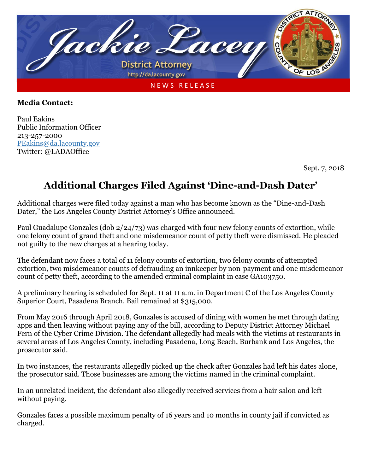

## **Media Contact:**

Paul Eakins Public Information Officer 213-257-2000 [PEakins@da.lacounty.gov](mailto:PEakins@da.lacounty.gov) Twitter: @LADAOffice

Sept. 7, 2018

## **Additional Charges Filed Against 'Dine-and-Dash Dater'**

Additional charges were filed today against a man who has become known as the "Dine-and-Dash Dater," the Los Angeles County District Attorney's Office announced.

Paul Guadalupe Gonzales (dob 2/24/73) was charged with four new felony counts of extortion, while one felony count of grand theft and one misdemeanor count of petty theft were dismissed. He pleaded not guilty to the new charges at a hearing today.

The defendant now faces a total of 11 felony counts of extortion, two felony counts of attempted extortion, two misdemeanor counts of defrauding an innkeeper by non-payment and one misdemeanor count of petty theft, according to the amended criminal complaint in case GA103750.

A preliminary hearing is scheduled for Sept. 11 at 11 a.m. in Department C of the Los Angeles County Superior Court, Pasadena Branch. Bail remained at \$315,000.

From May 2016 through April 2018, Gonzales is accused of dining with women he met through dating apps and then leaving without paying any of the bill, according to Deputy District Attorney Michael Fern of the Cyber Crime Division. The defendant allegedly had meals with the victims at restaurants in several areas of Los Angeles County, including Pasadena, Long Beach, Burbank and Los Angeles, the prosecutor said.

In two instances, the restaurants allegedly picked up the check after Gonzales had left his dates alone, the prosecutor said. Those businesses are among the victims named in the criminal complaint.

In an unrelated incident, the defendant also allegedly received services from a hair salon and left without paying.

Gonzales faces a possible maximum penalty of 16 years and 10 months in county jail if convicted as charged.